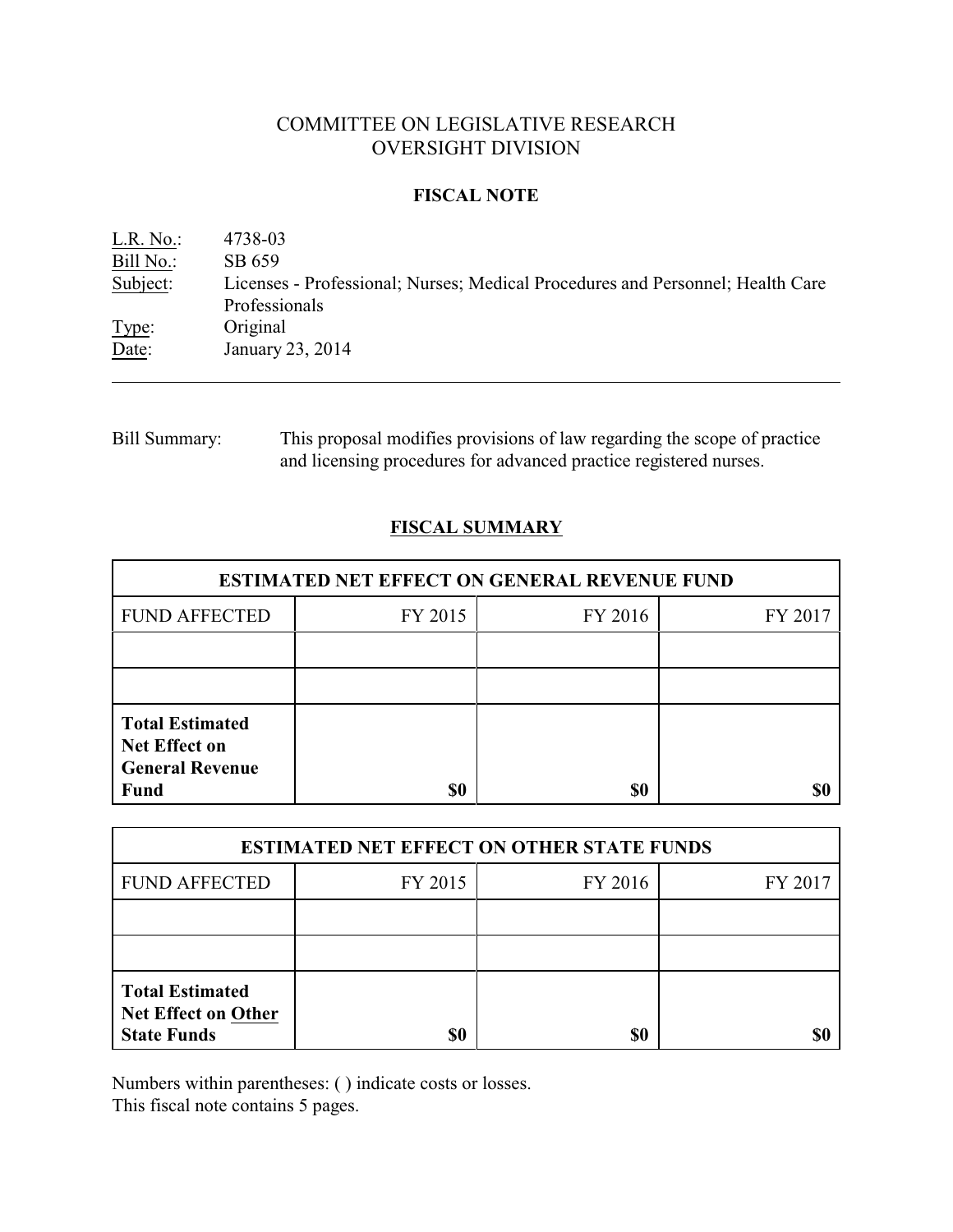# COMMITTEE ON LEGISLATIVE RESEARCH OVERSIGHT DIVISION

## **FISCAL NOTE**

L.R. No.: 4738-03 Bill No.: SB 659<br>Subject: Licenses Licenses - Professional; Nurses; Medical Procedures and Personnel; Health Care Professionals Type: Original Date: January 23, 2014

Bill Summary: This proposal modifies provisions of law regarding the scope of practice and licensing procedures for advanced practice registered nurses.

# **FISCAL SUMMARY**

| <b>ESTIMATED NET EFFECT ON GENERAL REVENUE FUND</b>                                     |         |         |         |  |
|-----------------------------------------------------------------------------------------|---------|---------|---------|--|
| <b>FUND AFFECTED</b>                                                                    | FY 2015 | FY 2016 | FY 2017 |  |
|                                                                                         |         |         |         |  |
|                                                                                         |         |         |         |  |
| <b>Total Estimated</b><br><b>Net Effect on</b><br><b>General Revenue</b><br><b>Fund</b> | \$0     | \$0     |         |  |

| <b>ESTIMATED NET EFFECT ON OTHER STATE FUNDS</b>                           |         |         |         |  |
|----------------------------------------------------------------------------|---------|---------|---------|--|
| <b>FUND AFFECTED</b>                                                       | FY 2015 | FY 2016 | FY 2017 |  |
|                                                                            |         |         |         |  |
|                                                                            |         |         |         |  |
| <b>Total Estimated</b><br><b>Net Effect on Other</b><br><b>State Funds</b> | \$0     | \$0     |         |  |

Numbers within parentheses: ( ) indicate costs or losses.

This fiscal note contains 5 pages.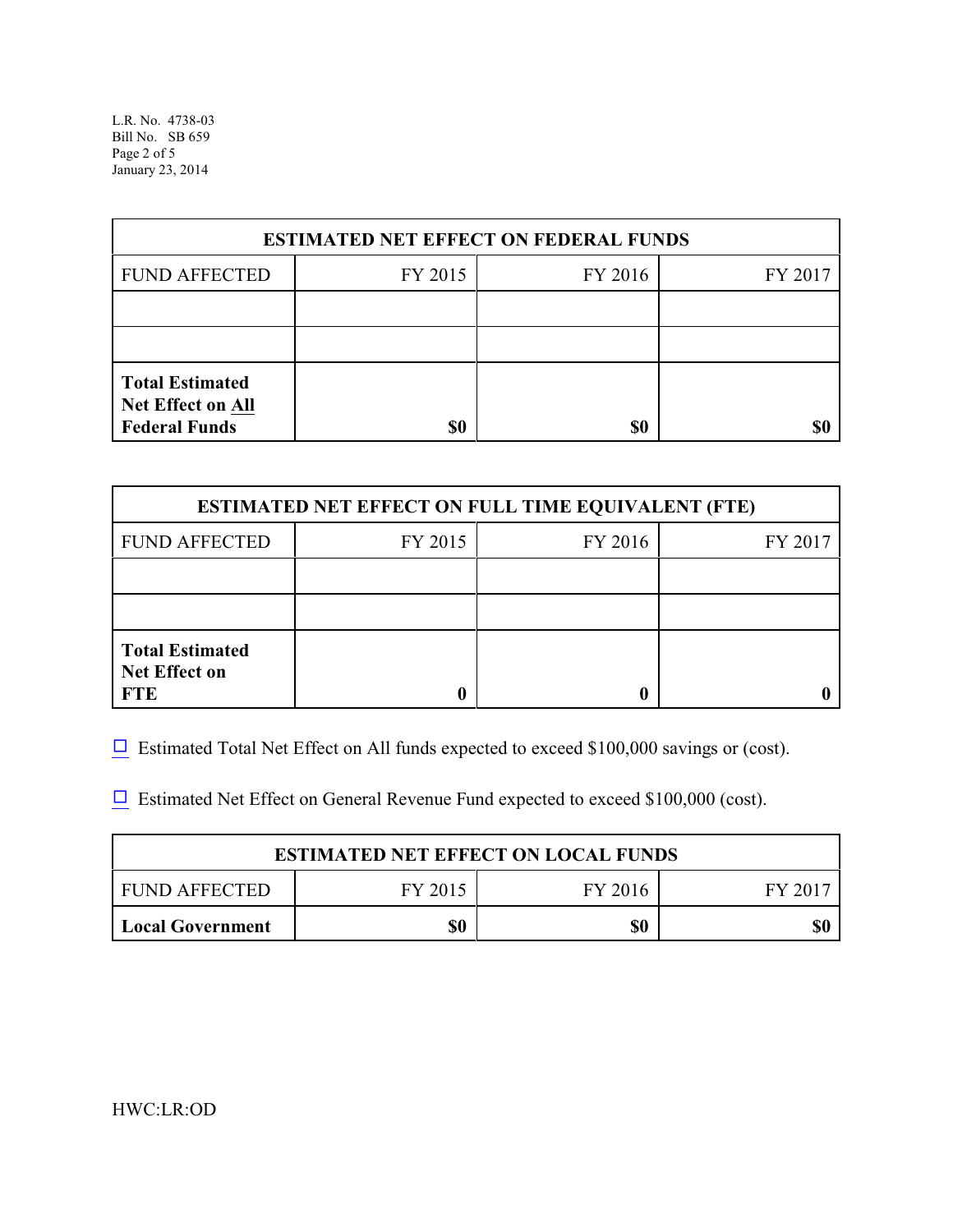L.R. No. 4738-03 Bill No. SB 659 Page 2 of 5 January 23, 2014

| <b>ESTIMATED NET EFFECT ON FEDERAL FUNDS</b>                        |         |         |         |  |
|---------------------------------------------------------------------|---------|---------|---------|--|
| <b>FUND AFFECTED</b>                                                | FY 2015 | FY 2016 | FY 2017 |  |
|                                                                     |         |         |         |  |
|                                                                     |         |         |         |  |
| <b>Total Estimated</b><br>Net Effect on All<br><b>Federal Funds</b> | \$0     | \$0     |         |  |

| <b>ESTIMATED NET EFFECT ON FULL TIME EQUIVALENT (FTE)</b>    |         |         |         |  |
|--------------------------------------------------------------|---------|---------|---------|--|
| <b>FUND AFFECTED</b>                                         | FY 2015 | FY 2016 | FY 2017 |  |
|                                                              |         |         |         |  |
|                                                              |         |         |         |  |
| <b>Total Estimated</b><br><b>Net Effect on</b><br><b>FTE</b> |         |         |         |  |

 $\Box$  Estimated Total Net Effect on All funds expected to exceed \$100,000 savings or (cost).

 $\Box$  Estimated Net Effect on General Revenue Fund expected to exceed \$100,000 (cost).

| <b>ESTIMATED NET EFFECT ON LOCAL FUNDS</b> |         |         |         |  |
|--------------------------------------------|---------|---------|---------|--|
| FUND AFFECTED                              | FY 2015 | FY 2016 | FY 2017 |  |
| <b>Local Government</b>                    | \$0     | \$0     | \$(     |  |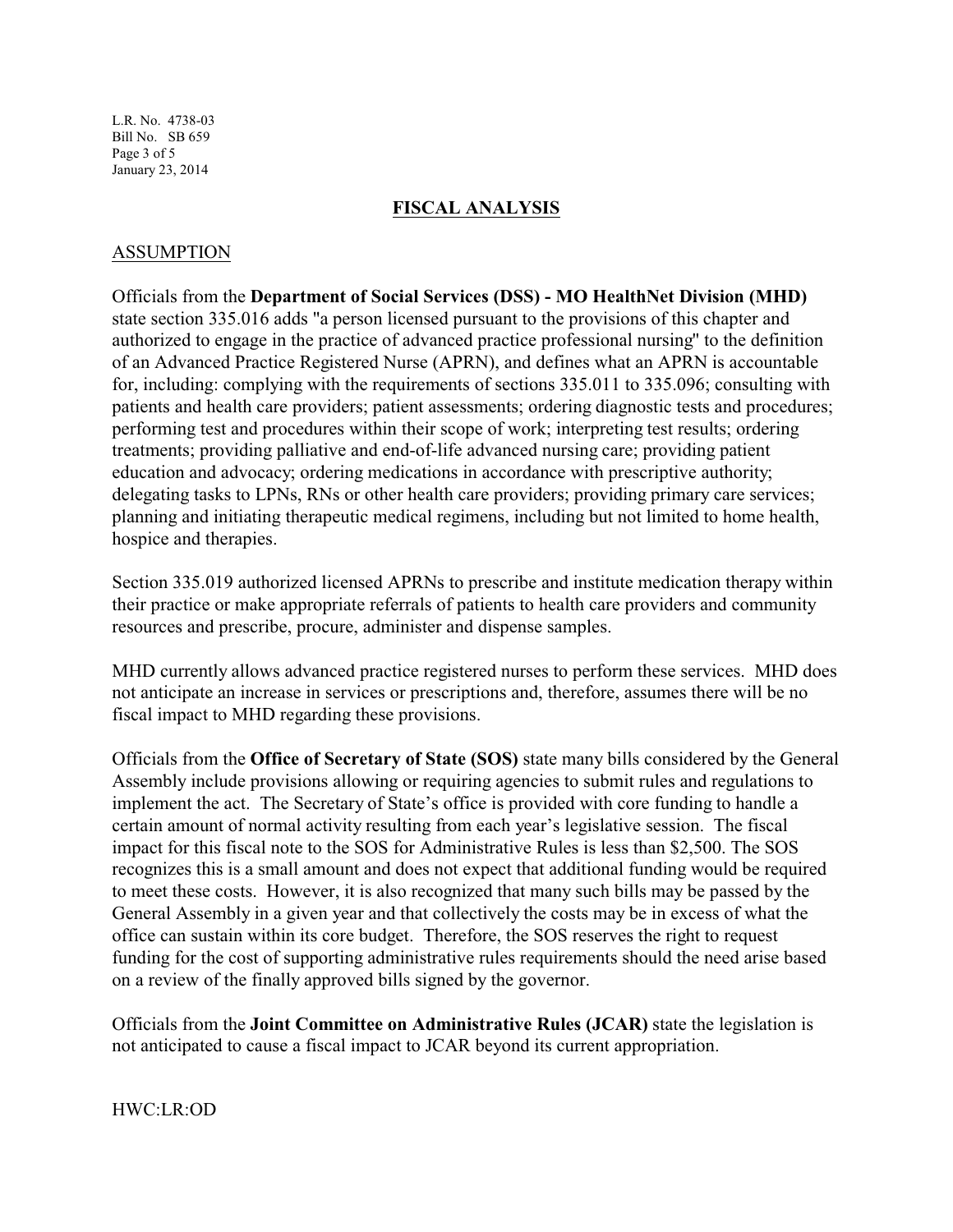L.R. No. 4738-03 Bill No. SB 659 Page 3 of 5 January 23, 2014

#### **FISCAL ANALYSIS**

#### ASSUMPTION

Officials from the **Department of Social Services (DSS) - MO HealthNet Division (MHD)** state section 335.016 adds "a person licensed pursuant to the provisions of this chapter and authorized to engage in the practice of advanced practice professional nursing" to the definition of an Advanced Practice Registered Nurse (APRN), and defines what an APRN is accountable for, including: complying with the requirements of sections 335.011 to 335.096; consulting with patients and health care providers; patient assessments; ordering diagnostic tests and procedures; performing test and procedures within their scope of work; interpreting test results; ordering treatments; providing palliative and end-of-life advanced nursing care; providing patient education and advocacy; ordering medications in accordance with prescriptive authority; delegating tasks to LPNs, RNs or other health care providers; providing primary care services; planning and initiating therapeutic medical regimens, including but not limited to home health, hospice and therapies.

Section 335.019 authorized licensed APRNs to prescribe and institute medication therapy within their practice or make appropriate referrals of patients to health care providers and community resources and prescribe, procure, administer and dispense samples.

MHD currently allows advanced practice registered nurses to perform these services. MHD does not anticipate an increase in services or prescriptions and, therefore, assumes there will be no fiscal impact to MHD regarding these provisions.

Officials from the **Office of Secretary of State (SOS)** state many bills considered by the General Assembly include provisions allowing or requiring agencies to submit rules and regulations to implement the act. The Secretary of State's office is provided with core funding to handle a certain amount of normal activity resulting from each year's legislative session. The fiscal impact for this fiscal note to the SOS for Administrative Rules is less than \$2,500. The SOS recognizes this is a small amount and does not expect that additional funding would be required to meet these costs. However, it is also recognized that many such bills may be passed by the General Assembly in a given year and that collectively the costs may be in excess of what the office can sustain within its core budget. Therefore, the SOS reserves the right to request funding for the cost of supporting administrative rules requirements should the need arise based on a review of the finally approved bills signed by the governor.

Officials from the **Joint Committee on Administrative Rules (JCAR)** state the legislation is not anticipated to cause a fiscal impact to JCAR beyond its current appropriation.

HWC:LR:OD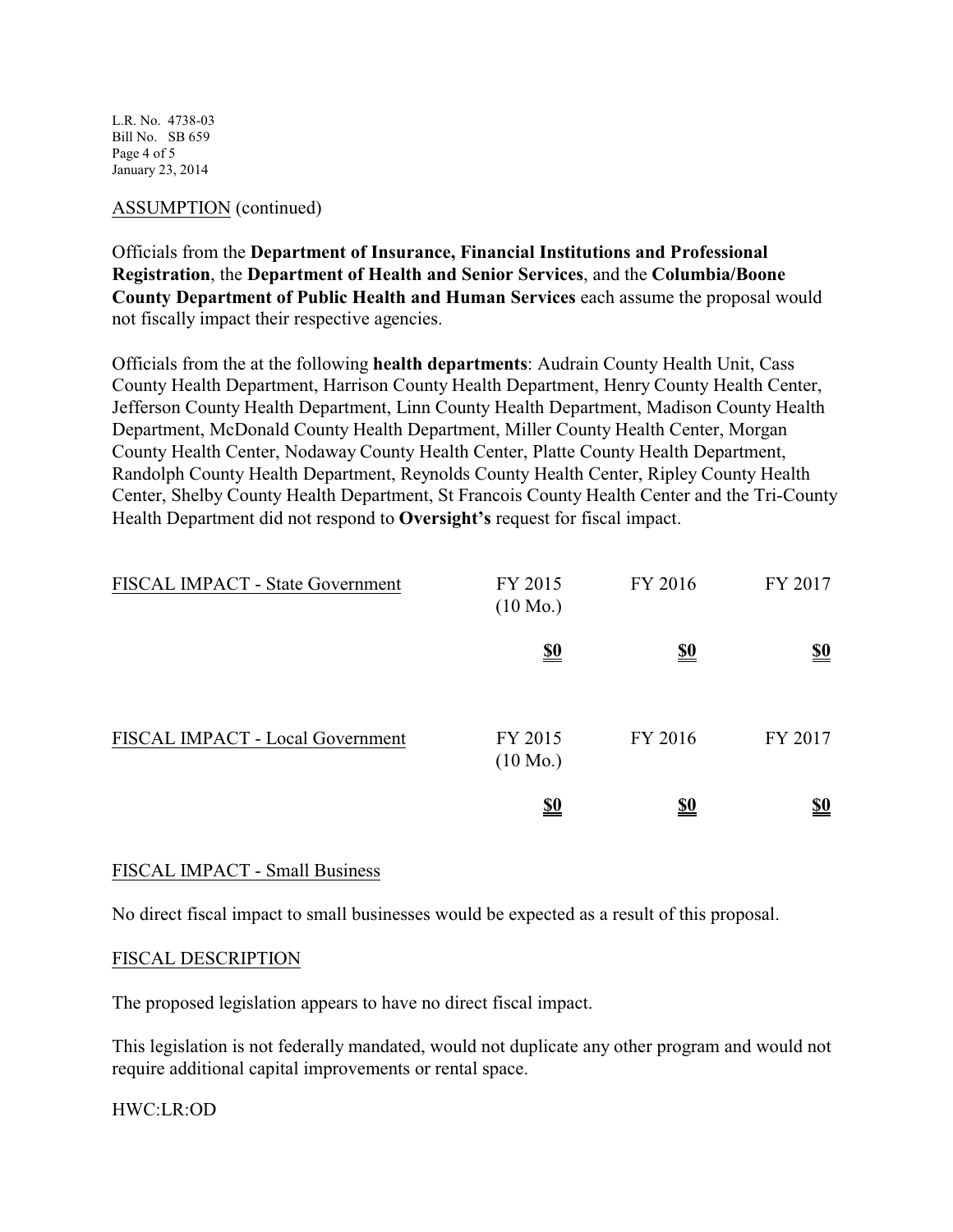L.R. No. 4738-03 Bill No. SB 659 Page 4 of 5 January 23, 2014

### ASSUMPTION (continued)

Officials from the **Department of Insurance, Financial Institutions and Professional Registration**, the **Department of Health and Senior Services**, and the **Columbia/Boone County Department of Public Health and Human Services** each assume the proposal would not fiscally impact their respective agencies.

Officials from the at the following **health departments**: Audrain County Health Unit, Cass County Health Department, Harrison County Health Department, Henry County Health Center, Jefferson County Health Department, Linn County Health Department, Madison County Health Department, McDonald County Health Department, Miller County Health Center, Morgan County Health Center, Nodaway County Health Center, Platte County Health Department, Randolph County Health Department, Reynolds County Health Center, Ripley County Health Center, Shelby County Health Department, St Francois County Health Center and the Tri-County Health Department did not respond to **Oversight's** request for fiscal impact.

| FISCAL IMPACT - State Government | FY 2015<br>$(10 \text{ Mo.})$ | FY 2016    | FY 2017                       |
|----------------------------------|-------------------------------|------------|-------------------------------|
|                                  | <u>\$0</u>                    | <u>\$0</u> | $\underline{\underline{\$0}}$ |
| FISCAL IMPACT - Local Government | FY 2015<br>$(10 \text{ Mo.})$ | FY 2016    | FY 2017                       |
|                                  | <u>\$0</u>                    | <u>\$0</u> | <u>\$0</u>                    |

### FISCAL IMPACT - Small Business

No direct fiscal impact to small businesses would be expected as a result of this proposal.

### FISCAL DESCRIPTION

The proposed legislation appears to have no direct fiscal impact.

This legislation is not federally mandated, would not duplicate any other program and would not require additional capital improvements or rental space.

### HWC:LR:OD